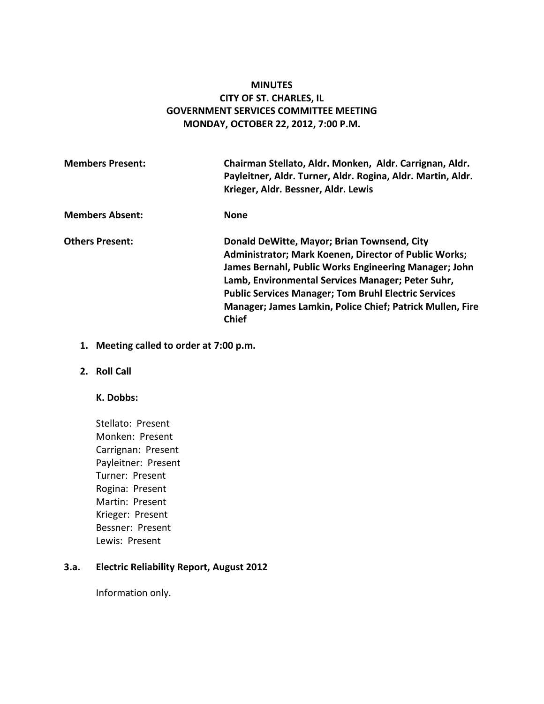# **MINUTES CITY OF ST. CHARLES, IL GOVERNMENT SERVICES COMMITTEE MEETING MONDAY, OCTOBER 22, 2012, 7:00 P.M.**

| <b>Members Present:</b> | Chairman Stellato, Aldr. Monken, Aldr. Carrignan, Aldr.<br>Payleitner, Aldr. Turner, Aldr. Rogina, Aldr. Martin, Aldr.<br>Krieger, Aldr. Bessner, Aldr. Lewis                                                                                                                                                                                                  |
|-------------------------|----------------------------------------------------------------------------------------------------------------------------------------------------------------------------------------------------------------------------------------------------------------------------------------------------------------------------------------------------------------|
| <b>Members Absent:</b>  | <b>None</b>                                                                                                                                                                                                                                                                                                                                                    |
| <b>Others Present:</b>  | Donald DeWitte, Mayor; Brian Townsend, City<br>Administrator; Mark Koenen, Director of Public Works;<br>James Bernahl, Public Works Engineering Manager; John<br>Lamb, Environmental Services Manager; Peter Suhr,<br><b>Public Services Manager; Tom Bruhl Electric Services</b><br>Manager; James Lamkin, Police Chief; Patrick Mullen, Fire<br><b>Chief</b> |

# **1. Meeting called to order at 7:00 p.m.**

## **2. Roll Call**

# **K. Dobbs:**

Stellato: Present Monken: Present Carrignan: Present Payleitner: Present Turner: Present Rogina: Present Martin: Present Krieger: Present Bessner: Present Lewis: Present

#### **3.a. Electric Reliability Report, August 2012**

Information only.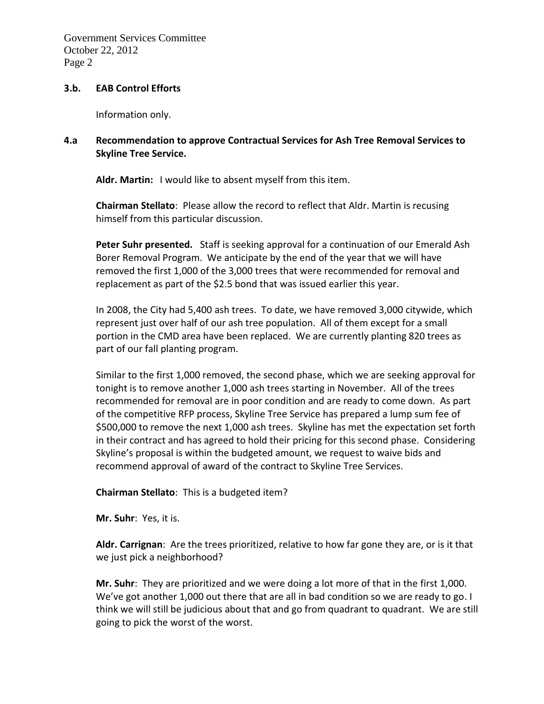### **3.b. EAB Control Efforts**

Information only.

# **4.a Recommendation to approve Contractual Services for Ash Tree Removal Services to Skyline Tree Service.**

**Aldr. Martin:** I would like to absent myself from this item.

**Chairman Stellato**: Please allow the record to reflect that Aldr. Martin is recusing himself from this particular discussion.

**Peter Suhr presented.** Staff is seeking approval for a continuation of our Emerald Ash Borer Removal Program. We anticipate by the end of the year that we will have removed the first 1,000 of the 3,000 trees that were recommended for removal and replacement as part of the \$2.5 bond that was issued earlier this year.

In 2008, the City had 5,400 ash trees. To date, we have removed 3,000 citywide, which represent just over half of our ash tree population. All of them except for a small portion in the CMD area have been replaced. We are currently planting 820 trees as part of our fall planting program.

Similar to the first 1,000 removed, the second phase, which we are seeking approval for tonight is to remove another 1,000 ash trees starting in November. All of the trees recommended for removal are in poor condition and are ready to come down. As part of the competitive RFP process, Skyline Tree Service has prepared a lump sum fee of \$500,000 to remove the next 1,000 ash trees. Skyline has met the expectation set forth in their contract and has agreed to hold their pricing for this second phase. Considering Skyline's proposal is within the budgeted amount, we request to waive bids and recommend approval of award of the contract to Skyline Tree Services.

## **Chairman Stellato**: This is a budgeted item?

**Mr. Suhr**: Yes, it is.

**Aldr. Carrignan**: Are the trees prioritized, relative to how far gone they are, or is it that we just pick a neighborhood?

**Mr. Suhr**: They are prioritized and we were doing a lot more of that in the first 1,000. We've got another 1,000 out there that are all in bad condition so we are ready to go. I think we will still be judicious about that and go from quadrant to quadrant. We are still going to pick the worst of the worst.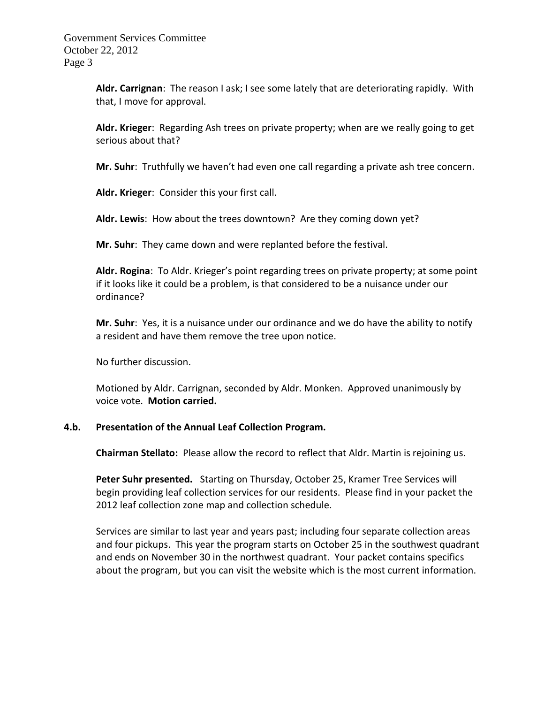> **Aldr. Carrignan**: The reason I ask; I see some lately that are deteriorating rapidly. With that, I move for approval.

> **Aldr. Krieger**: Regarding Ash trees on private property; when are we really going to get serious about that?

> **Mr. Suhr**: Truthfully we haven't had even one call regarding a private ash tree concern.

**Aldr. Krieger**: Consider this your first call.

**Aldr. Lewis**: How about the trees downtown? Are they coming down yet?

**Mr. Suhr**: They came down and were replanted before the festival.

**Aldr. Rogina**: To Aldr. Krieger's point regarding trees on private property; at some point if it looks like it could be a problem, is that considered to be a nuisance under our ordinance?

**Mr. Suhr**: Yes, it is a nuisance under our ordinance and we do have the ability to notify a resident and have them remove the tree upon notice.

No further discussion.

Motioned by Aldr. Carrignan, seconded by Aldr. Monken. Approved unanimously by voice vote. **Motion carried.** 

#### **4.b. Presentation of the Annual Leaf Collection Program.**

**Chairman Stellato:** Please allow the record to reflect that Aldr. Martin is rejoining us.

**Peter Suhr presented.** Starting on Thursday, October 25, Kramer Tree Services will begin providing leaf collection services for our residents. Please find in your packet the 2012 leaf collection zone map and collection schedule.

Services are similar to last year and years past; including four separate collection areas and four pickups. This year the program starts on October 25 in the southwest quadrant and ends on November 30 in the northwest quadrant. Your packet contains specifics about the program, but you can visit the website which is the most current information.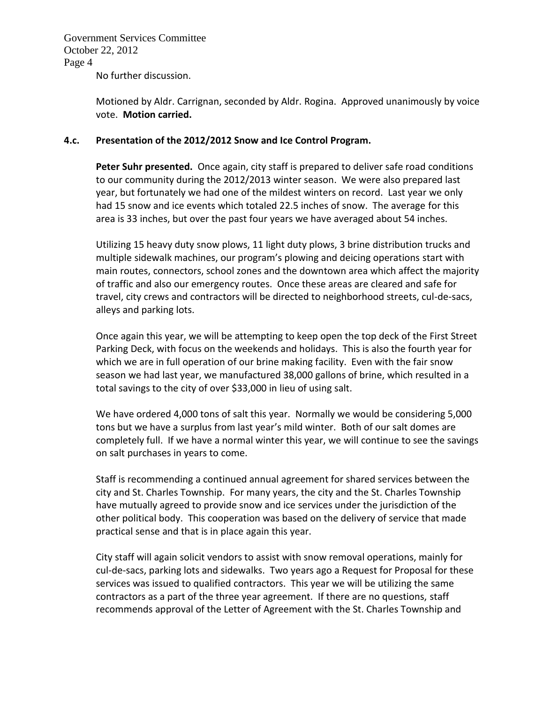No further discussion.

Motioned by Aldr. Carrignan, seconded by Aldr. Rogina. Approved unanimously by voice vote. **Motion carried.**

## **4.c. Presentation of the 2012/2012 Snow and Ice Control Program.**

Peter Suhr presented. Once again, city staff is prepared to deliver safe road conditions to our community during the 2012/2013 winter season. We were also prepared last year, but fortunately we had one of the mildest winters on record. Last year we only had 15 snow and ice events which totaled 22.5 inches of snow. The average for this area is 33 inches, but over the past four years we have averaged about 54 inches.

Utilizing 15 heavy duty snow plows, 11 light duty plows, 3 brine distribution trucks and multiple sidewalk machines, our program's plowing and deicing operations start with main routes, connectors, school zones and the downtown area which affect the majority of traffic and also our emergency routes. Once these areas are cleared and safe for travel, city crews and contractors will be directed to neighborhood streets, cul-de-sacs, alleys and parking lots.

Once again this year, we will be attempting to keep open the top deck of the First Street Parking Deck, with focus on the weekends and holidays. This is also the fourth year for which we are in full operation of our brine making facility. Even with the fair snow season we had last year, we manufactured 38,000 gallons of brine, which resulted in a total savings to the city of over \$33,000 in lieu of using salt.

We have ordered 4,000 tons of salt this year. Normally we would be considering 5,000 tons but we have a surplus from last year's mild winter. Both of our salt domes are completely full. If we have a normal winter this year, we will continue to see the savings on salt purchases in years to come.

Staff is recommending a continued annual agreement for shared services between the city and St. Charles Township. For many years, the city and the St. Charles Township have mutually agreed to provide snow and ice services under the jurisdiction of the other political body. This cooperation was based on the delivery of service that made practical sense and that is in place again this year.

City staff will again solicit vendors to assist with snow removal operations, mainly for cul-de-sacs, parking lots and sidewalks. Two years ago a Request for Proposal for these services was issued to qualified contractors. This year we will be utilizing the same contractors as a part of the three year agreement. If there are no questions, staff recommends approval of the Letter of Agreement with the St. Charles Township and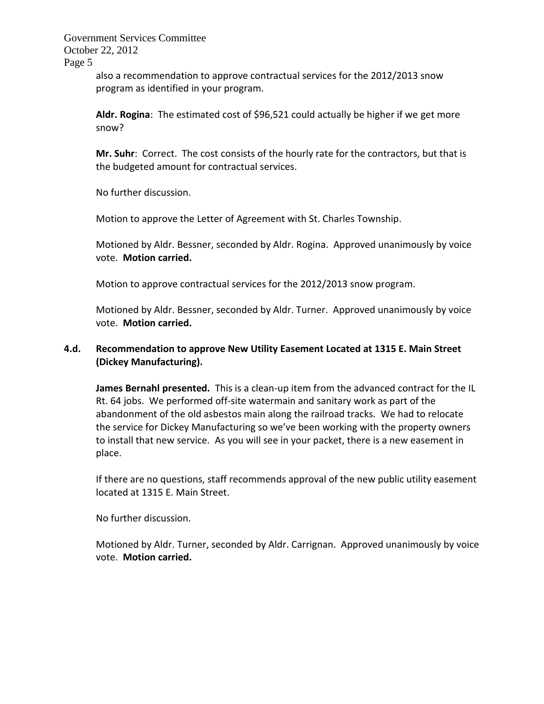Government Services Committee October 22, 2012

Page 5

also a recommendation to approve contractual services for the 2012/2013 snow program as identified in your program.

**Aldr. Rogina**: The estimated cost of \$96,521 could actually be higher if we get more snow?

**Mr. Suhr**: Correct. The cost consists of the hourly rate for the contractors, but that is the budgeted amount for contractual services.

No further discussion.

Motion to approve the Letter of Agreement with St. Charles Township.

Motioned by Aldr. Bessner, seconded by Aldr. Rogina. Approved unanimously by voice vote. **Motion carried.** 

Motion to approve contractual services for the 2012/2013 snow program.

Motioned by Aldr. Bessner, seconded by Aldr. Turner. Approved unanimously by voice vote. **Motion carried.** 

# **4.d. Recommendation to approve New Utility Easement Located at 1315 E. Main Street (Dickey Manufacturing).**

**James Bernahl presented.** This is a clean-up item from the advanced contract for the IL Rt. 64 jobs. We performed off-site watermain and sanitary work as part of the abandonment of the old asbestos main along the railroad tracks. We had to relocate the service for Dickey Manufacturing so we've been working with the property owners to install that new service. As you will see in your packet, there is a new easement in place.

If there are no questions, staff recommends approval of the new public utility easement located at 1315 E. Main Street.

No further discussion.

Motioned by Aldr. Turner, seconded by Aldr. Carrignan. Approved unanimously by voice vote. **Motion carried.**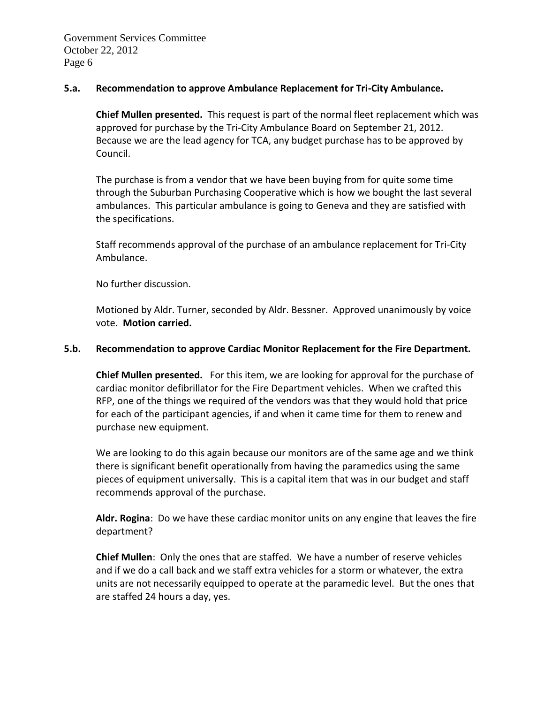### **5.a. Recommendation to approve Ambulance Replacement for Tri-City Ambulance.**

**Chief Mullen presented.** This request is part of the normal fleet replacement which was approved for purchase by the Tri-City Ambulance Board on September 21, 2012. Because we are the lead agency for TCA, any budget purchase has to be approved by Council.

The purchase is from a vendor that we have been buying from for quite some time through the Suburban Purchasing Cooperative which is how we bought the last several ambulances. This particular ambulance is going to Geneva and they are satisfied with the specifications.

Staff recommends approval of the purchase of an ambulance replacement for Tri-City Ambulance.

No further discussion.

Motioned by Aldr. Turner, seconded by Aldr. Bessner. Approved unanimously by voice vote. **Motion carried.** 

### **5.b. Recommendation to approve Cardiac Monitor Replacement for the Fire Department.**

**Chief Mullen presented.** For this item, we are looking for approval for the purchase of cardiac monitor defibrillator for the Fire Department vehicles. When we crafted this RFP, one of the things we required of the vendors was that they would hold that price for each of the participant agencies, if and when it came time for them to renew and purchase new equipment.

We are looking to do this again because our monitors are of the same age and we think there is significant benefit operationally from having the paramedics using the same pieces of equipment universally. This is a capital item that was in our budget and staff recommends approval of the purchase.

**Aldr. Rogina**: Do we have these cardiac monitor units on any engine that leaves the fire department?

**Chief Mullen**: Only the ones that are staffed. We have a number of reserve vehicles and if we do a call back and we staff extra vehicles for a storm or whatever, the extra units are not necessarily equipped to operate at the paramedic level. But the ones that are staffed 24 hours a day, yes.